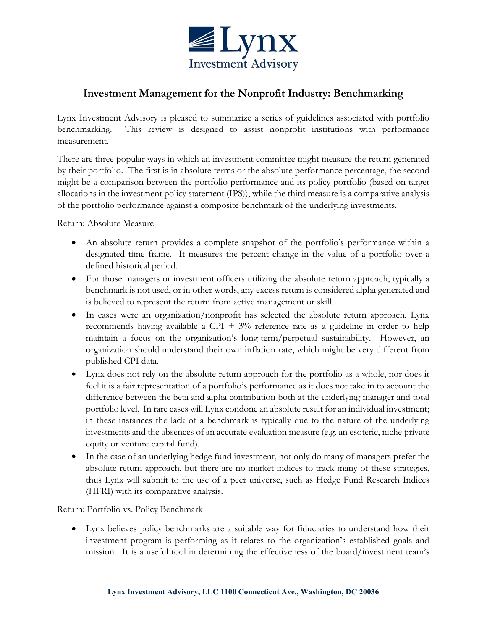

# **Investment Management for the Nonprofit Industry: Benchmarking**

Lynx Investment Advisory is pleased to summarize a series of guidelines associated with portfolio benchmarking. This review is designed to assist nonprofit institutions with performance measurement.

There are three popular ways in which an investment committee might measure the return generated by their portfolio. The first is in absolute terms or the absolute performance percentage, the second might be a comparison between the portfolio performance and its policy portfolio (based on target allocations in the investment policy statement (IPS)), while the third measure is a comparative analysis of the portfolio performance against a composite benchmark of the underlying investments.

# Return: Absolute Measure

- An absolute return provides a complete snapshot of the portfolio's performance within a designated time frame. It measures the percent change in the value of a portfolio over a defined historical period.
- For those managers or investment officers utilizing the absolute return approach, typically a benchmark is not used, or in other words, any excess return is considered alpha generated and is believed to represent the return from active management or skill.
- In cases were an organization/nonprofit has selected the absolute return approach, Lynx recommends having available a CPI +  $3\%$  reference rate as a guideline in order to help maintain a focus on the organization's long-term/perpetual sustainability. However, an organization should understand their own inflation rate, which might be very different from published CPI data.
- Lynx does not rely on the absolute return approach for the portfolio as a whole, nor does it feel it is a fair representation of a portfolio's performance as it does not take in to account the difference between the beta and alpha contribution both at the underlying manager and total portfolio level. In rare cases will Lynx condone an absolute result for an individual investment; in these instances the lack of a benchmark is typically due to the nature of the underlying investments and the absences of an accurate evaluation measure (e.g. an esoteric, niche private equity or venture capital fund).
- In the case of an underlying hedge fund investment, not only do many of managers prefer the absolute return approach, but there are no market indices to track many of these strategies, thus Lynx will submit to the use of a peer universe, such as Hedge Fund Research Indices (HFRI) with its comparative analysis.

# Return: Portfolio vs. Policy Benchmark

 Lynx believes policy benchmarks are a suitable way for fiduciaries to understand how their investment program is performing as it relates to the organization's established goals and mission. It is a useful tool in determining the effectiveness of the board/investment team's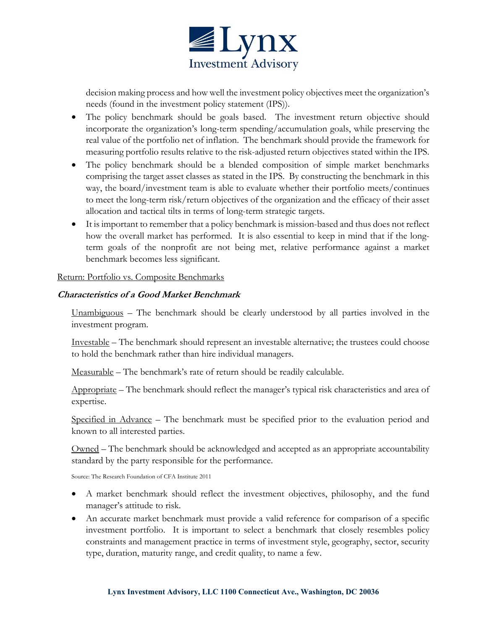

decision making process and how well the investment policy objectives meet the organization's needs (found in the investment policy statement (IPS)).

- The policy benchmark should be goals based. The investment return objective should incorporate the organization's long-term spending/accumulation goals, while preserving the real value of the portfolio net of inflation. The benchmark should provide the framework for measuring portfolio results relative to the risk-adjusted return objectives stated within the IPS.
- The policy benchmark should be a blended composition of simple market benchmarks comprising the target asset classes as stated in the IPS. By constructing the benchmark in this way, the board/investment team is able to evaluate whether their portfolio meets/continues to meet the long-term risk/return objectives of the organization and the efficacy of their asset allocation and tactical tilts in terms of long-term strategic targets.
- It is important to remember that a policy benchmark is mission-based and thus does not reflect how the overall market has performed. It is also essential to keep in mind that if the longterm goals of the nonprofit are not being met, relative performance against a market benchmark becomes less significant.

### Return: Portfolio vs. Composite Benchmarks

### **Characteristics of a Good Market Benchmark**

Unambiguous – The benchmark should be clearly understood by all parties involved in the investment program.

Investable – The benchmark should represent an investable alternative; the trustees could choose to hold the benchmark rather than hire individual managers.

Measurable – The benchmark's rate of return should be readily calculable.

Appropriate – The benchmark should reflect the manager's typical risk characteristics and area of expertise.

Specified in Advance – The benchmark must be specified prior to the evaluation period and known to all interested parties.

Owned – The benchmark should be acknowledged and accepted as an appropriate accountability standard by the party responsible for the performance.

Source: The Research Foundation of CFA Institute 2011

- A market benchmark should reflect the investment objectives, philosophy, and the fund manager's attitude to risk.
- An accurate market benchmark must provide a valid reference for comparison of a specific investment portfolio. It is important to select a benchmark that closely resembles policy constraints and management practice in terms of investment style, geography, sector, security type, duration, maturity range, and credit quality, to name a few.